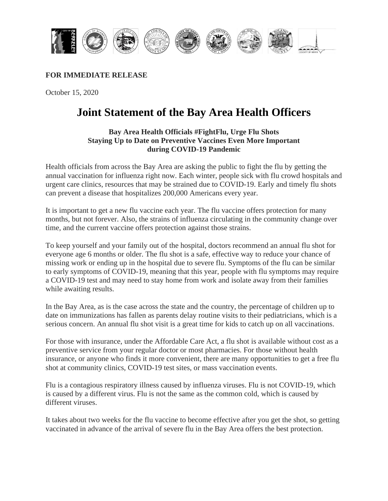

## **FOR IMMEDIATE RELEASE**

October 15, 2020

## **Joint Statement of the Bay Area Health Officers**

## **Bay Area Health Officials #FightFlu, Urge Flu Shots Staying Up to Date on Preventive Vaccines Even More Important during COVID-19 Pandemic**

Health officials from across the Bay Area are asking the public to fight the flu by getting the annual vaccination for influenza right now. Each winter, people sick with flu crowd hospitals and urgent care clinics, resources that may be strained due to COVID-19. Early and timely flu shots can prevent a disease that hospitalizes 200,000 Americans every year.

It is important to get a new flu vaccine each year. The flu vaccine offers protection for many months, but not forever. Also, the strains of influenza circulating in the community change over time, and the current vaccine offers protection against those strains.

To keep yourself and your family out of the hospital, doctors recommend an annual flu shot for everyone age 6 months or older. The flu shot is a safe, effective way to reduce your chance of missing work or ending up in the hospital due to severe flu. Symptoms of the flu can be similar to early symptoms of COVID-19, meaning that this year, people with flu symptoms may require a COVID-19 test and may need to stay home from work and isolate away from their families while awaiting results.

In the Bay Area, as is the case across the state and the country, the percentage of children up to date on immunizations has fallen as parents delay routine visits to their pediatricians, which is a serious concern. An annual flu shot visit is a great time for kids to catch up on all vaccinations.

For those with insurance, under the Affordable Care Act, a flu shot is available without cost as a preventive service from your regular doctor or most pharmacies. For those without health insurance, or anyone who finds it more convenient, there are many opportunities to get a free flu shot at community clinics, COVID-19 test sites, or mass vaccination events.

Flu is a contagious respiratory illness caused by influenza viruses. Flu is not COVID-19, which is caused by a different virus. Flu is not the same as the common cold, which is caused by different viruses.

It takes about two weeks for the flu vaccine to become effective after you get the shot, so getting vaccinated in advance of the arrival of severe flu in the Bay Area offers the best protection.